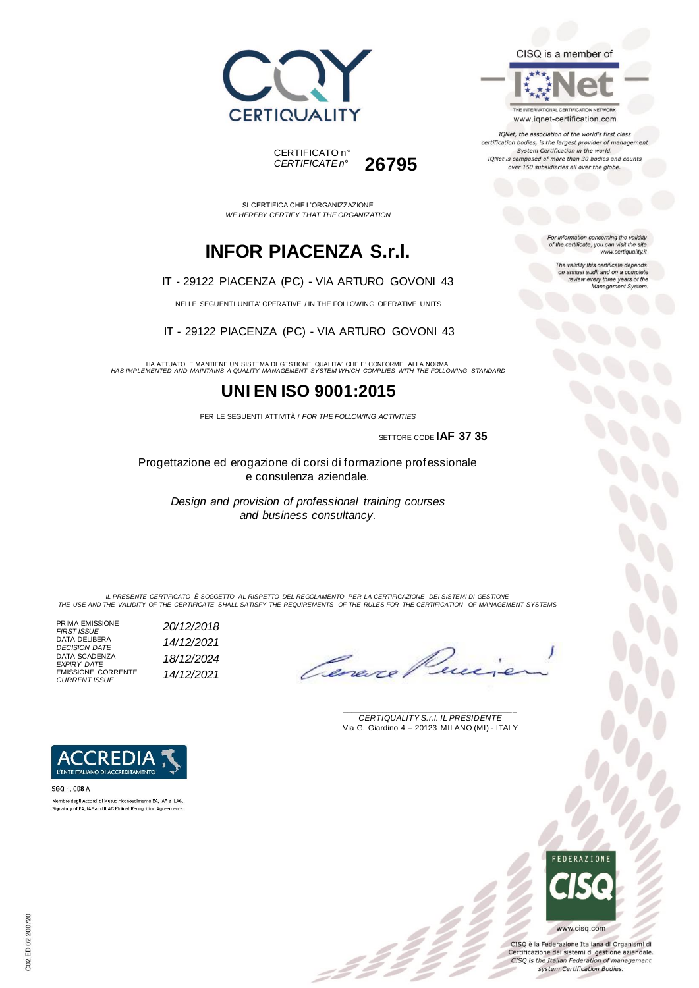



THE INTERNATIONAL CERTIFICATION NETWORK www.iqnet-certification.com

IQNet, the association of the world's first class certification bodies, is the largest provider of management System Certification in the world. IQNet is composed of more than 30 bodies and counts over 150 subsidiaries all over the globe.

For information concerning the validity<br>of the certificate, you can visit the site

The validity this certificate depends on annual audit and on a complete<br>review every three years of the<br>Management System.

www.certiquality.it

*CERTIFICATE n°* **26795**

CERTIFICATO n°

SI CERTIFICA CHE L'ORGANIZZAZIONE *WE HEREBY CERTIFY THAT THE ORGANIZATION*

# **INFOR PIACENZA S.r.l.**

IT - 29122 PIACENZA (PC) - VIA ARTURO GOVONI 43

NELLE SEGUENTI UNITA' OPERATIVE / IN THE FOLLOWING OPERATIVE UNITS

IT - 29122 PIACENZA (PC) - VIA ARTURO GOVONI 43

HA ATTUATO E MANTIENE UN SISTEMA DI GESTIONE QUALITA' CHE E' CONFORME ALLA NORMA *HAS IMPLEMENTED AND MAINTAINS A QUALITY MANAGEMENT SYSTEM WHICH COMPLIES WITH THE FOLLOWING STANDARD*

### **UNI EN ISO 9001:2015**

PER LE SEGUENTI ATTIVITÀ / *FOR THE FOLLOWING ACTIVITIES*

SETTORE CODE **IAF 37 35**

Progettazione ed erogazione di corsi di formazione professionale e consulenza aziendale.

*Design and provision of professional training courses and business consultancy.*

*IL PRESENTE CERTIFICATO È SOGGETTO AL RISPETTO DEL REGOLAMENTO PER LA CERTIFICAZIONE DEI SISTEMI DI GESTIONE THE USE AND THE VALIDITY OF THE CERTIFICATE SHALL SATISFY THE REQUIREMENTS OF THE RULES FOR THE CERTIFICATION OF MANAGEMENT SYSTEMS*

PRIMA EMISSIONE *FIRST ISSUE 20/12/2018* DATA DELIBERA *DECISION DATE 14/12/2021* DATA SCADENZA *EXPIRY DATE 18/12/2024* EMISSIONE CORRENTE *CURRENT ISSUE 14/12/2021*

Cerexe

\_\_\_\_\_\_\_\_\_\_\_\_\_\_\_\_\_\_\_\_\_\_\_\_\_\_\_\_\_\_\_\_\_\_\_\_\_\_\_ *CERTIQUALITY S.r.l. IL PRESIDENTE* Via G. Giardino 4 – 20123 MILANO (MI) - ITALY



CISQ è la Federazione Italiana di Organismi di Certificazione dei sistemi di gestione aziendale. CISQ is the Italian Federation of management system Certification Bodies.



CREDI